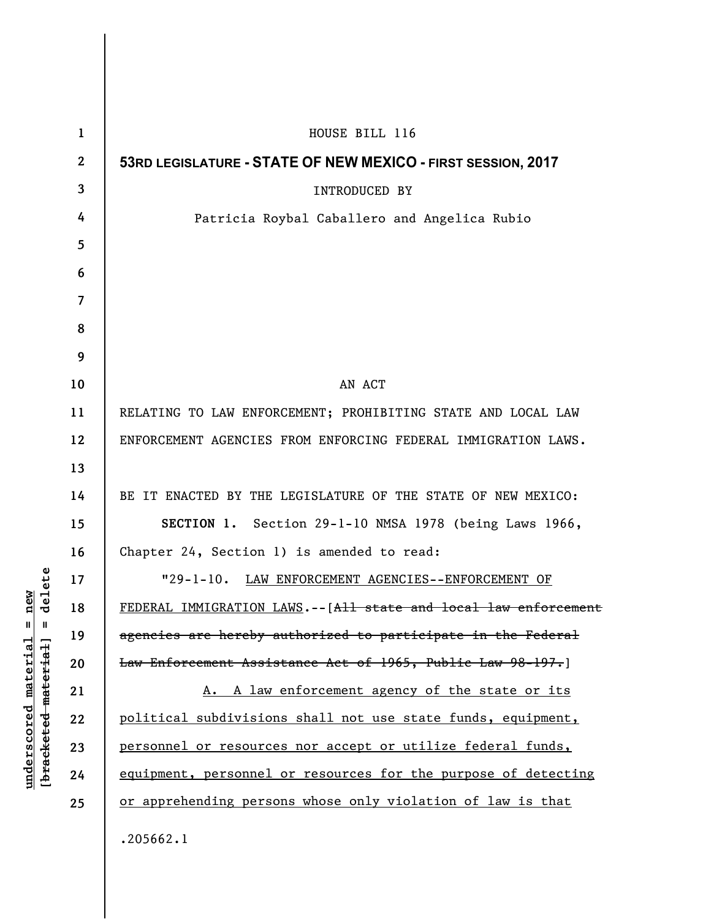| $\mathbf{1}$   | HOUSE BILL 116                                                    |
|----------------|-------------------------------------------------------------------|
| $\mathbf{2}$   | 53RD LEGISLATURE - STATE OF NEW MEXICO - FIRST SESSION, 2017      |
| 3              | <b>INTRODUCED BY</b>                                              |
| 4              | Patricia Roybal Caballero and Angelica Rubio                      |
| 5              |                                                                   |
| 6              |                                                                   |
| $\overline{7}$ |                                                                   |
| 8              |                                                                   |
| 9              |                                                                   |
| 10             | AN ACT                                                            |
| 11             | RELATING TO LAW ENFORCEMENT; PROHIBITING STATE AND LOCAL LAW      |
| 12             | ENFORCEMENT AGENCIES FROM ENFORCING FEDERAL IMMIGRATION LAWS.     |
| 13             |                                                                   |
| 14             | BE IT ENACTED BY THE LEGISLATURE OF THE STATE OF NEW MEXICO:      |
| 15             | SECTION 1. Section 29-1-10 NMSA 1978 (being Laws 1966,            |
| 16             | Chapter 24, Section 1) is amended to read:                        |
| 17             | "29-1-10. LAW ENFORCEMENT AGENCIES--ENFORCEMENT OF                |
| 18             | FEDERAL IMMIGRATION LAWS. -- [All state and local law enforcement |
| 19             | agencies are hereby authorized to participate in the Federal      |
| 20             | Law Enforcement Assistance Act of 1965, Public Law 98-197.]       |
| 21             | A. A law enforcement agency of the state or its                   |
| 22             | political subdivisions shall not use state funds, equipment,      |
| 23             | personnel or resources nor accept or utilize federal funds,       |
| 24             | equipment, personnel or resources for the purpose of detecting    |
| 25             | or apprehending persons whose only violation of law is that       |
|                | .205662.1                                                         |

**underscored material = new [bracketed material] = delete**

 $[**bracket eted metert et**] = **del et e**$  $underscored material = new$